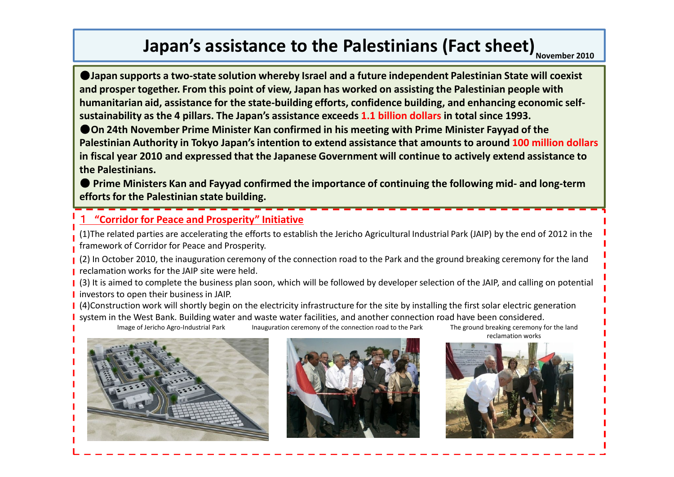# **Japan's assistance to the Palestinians (Fact sheet)** November 2010

●**Japan supports a two-state solution whereby Israel and a future independent Palestinian State will coexist and prosper together. From this point of view, Japan has worked on assisting the Palestinian people with humanitarian aid, assistance for the state-building efforts, confidence building, and enhancing economic selfsustainability as the 4 pillars. The Japan's assistance exceeds 1.1 billion dollars in total since 1993.** 

**Oon 24th November Prime Minister Kan confirmed in his meeting with Prime Minister Fayyad of the Palestinian Authority in Tokyo Japan's intention to extend assistance that amounts to around 100 million dollars in fiscal year 2010 and expressed that the Japanese Government will continue to actively extend assistance to the Palestinians.** 

● Prime Ministers Kan and Fayyad confirmed the importance of continuing the following mid- and long-term **efforts for the Palestinian state building.**

# 1 **"Corridor for Peace and Prosperity" Initiative**

(1)The related parties are accelerating the efforts to establish the Jericho Agricultural Industrial Park (JAIP) by the end of 2012 in the framework of Corridor for Peace and Prosperity.

(2) In October 2010, the inauguration ceremony of the connection road to the Park and the ground breaking ceremony for the land **F** reclamation works for the JAIP site were held.

[3] It is aimed to complete the business plan soon, which will be followed by developer selection of the JAIP, and calling on potential **I** investors to open their business in JAIP.

| (4)Construction work will shortly begin on the electricity infrastructure for the site by installing the first solar electric generation system in the West Bank. Building water and waste water facilities, and another connection road have been considered.

Image of Jericho Agro-Industrial Park Inauguration ceremony of the connection road to the Park The ground breaking ceremony for the land





reclamation works

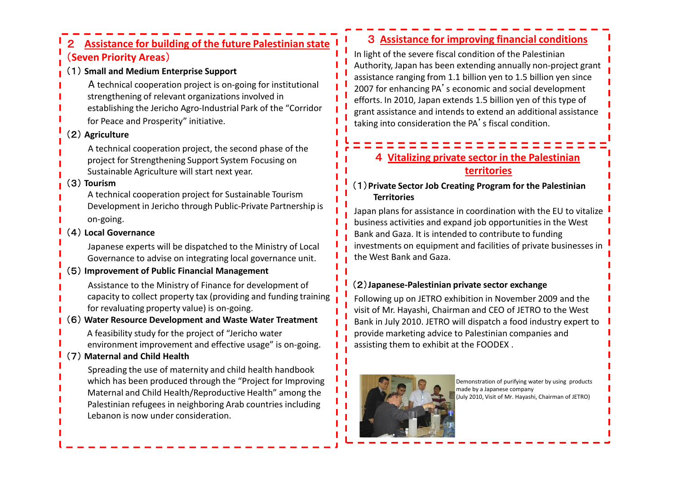# 2 **Assistance for building of the future Palestinian state**  (**Seven Priority Areas**)

#### (1) **Small and Medium Enterprise Support**

A technical cooperation project is on-going for institutional

- strengthening of relevant organizations involved in
- establishing the Jericho Agro-Industrial Park of the "Corridor for Peace and Prosperity" initiative.

# (2) **Agriculture**

A technical cooperation project, the second phase of the project for Strengthening Support System Focusing on Sustainable Agriculture will start next year.

## (3) **Tourism**

A technical cooperation project for Sustainable Tourism Development in Jericho through Public-Private Partnership is on-going.

## (4) **Local Governance**

Japanese experts will be dispatched to the Ministry of Local Governance to advise on integrating local governance unit.

#### (5) **Improvement of Public Financial Management**

Assistance to the Ministry of Finance for development of capacity to collect property tax (providing and funding training for revaluating property value) is on-going.

#### (6) **Water Resource Development and Waste Water Treatment**

A feasibility study for the project of "Jericho water environment improvement and effective usage" is on-going.

# (7) **Maternal and Child Health**

Spreading the use of maternity and child health handbook which has been produced through the "Project for Improving Maternal and Child Health/Reproductive Health" among the Palestinian refugees in neighboring Arab countries including Lebanon is now under consideration.

# 3 **Assistance for improving financial conditions**

In light of the severe fiscal condition of the Palestinian Authority, Japan has been extending annually non-project grant assistance ranging from 1.1 billion yen to 1.5 billion yen since 2007 for enhancing PA's economic and social development efforts. In 2010, Japan extends 1.5 billion yen of this type of grant assistance and intends to extend an additional assistance taking into consideration the PA's fiscal condition.

# 4 **Vitalizing private sector in the Palestinian territories**

## (1)**Private Sector Job Creating Program for the Palestinian Territories**

Japan plans for assistance in coordination with the EU to vitalize business activities and expand job opportunities in the West Bank and Gaza. It is intended to contribute to funding investments on equipment and facilities of private businesses in the West Bank and Gaza.

# (2)**Japanese-Palestinian private sector exchange**

Following up on JETRO exhibition in November 2009 and the visit of Mr. Hayashi, Chairman and CEO of JETRO to the West Bank in July 2010. JETRO will dispatch a food industry expert to provide marketing advice to Palestinian companies and assisting them to exhibit at the FOODEX .



Demonstration of purifying water by using products made by a Japanese company (July 2010, Visit of Mr. Hayashi, Chairman of JETRO)